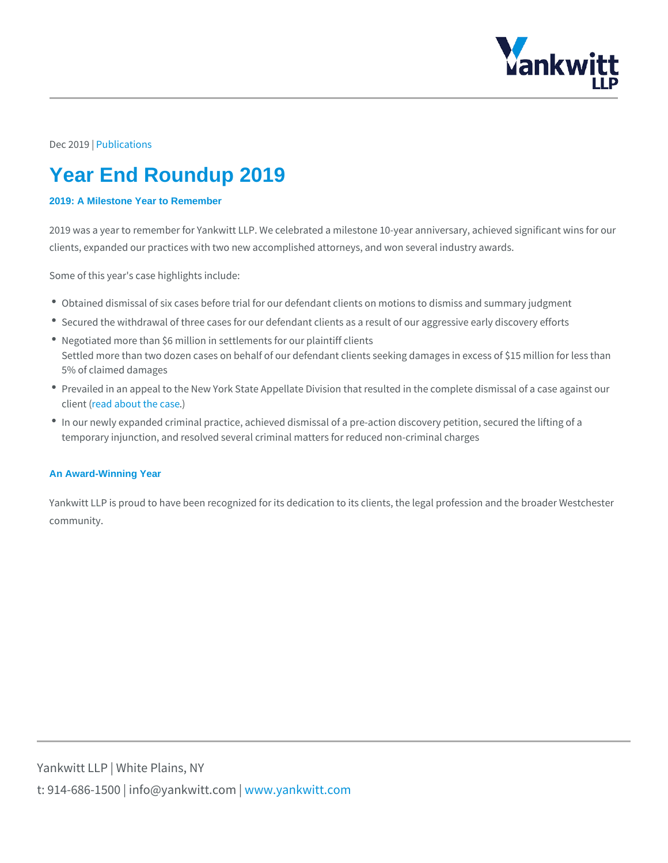## Dec 20P109 lications

# Year End Roundup 2019

## 2019: A Milestone Year to Remember

2019 was a year to remember for Yankwitt LLP. We celebrated a milestone 10-year clients, expanded our practices with two new accomplished attorneys, and won se

Some of this year's case highlights include:

- $\bullet$  Obtained dismissal of six cases before trial for our defendant clients on motior
- Secured the withdrawal of three cases for our defendant clients as a result of  $\alpha$
- Negotiated more than \$6 million in settlements for our plaintiff clients Settled more than two dozen cases on behalf of our defendant clients seeking damages in than 5% of claimed damages
- Prevailed in an appeal to the New York State Appellate Division that resulted i cliem  $edd$  about the case
- $\bullet$  In our newly expanded criminal practice, achieved dismissal of a pre-action dis temporary injunction, and resolved several criminal matters for reduced non-cri

#### An Award-Winning Year

Yankwitt LLP is proud to have been recognized for its dedication to its clients, t community.

Yankwitt LLP | White Plains, NY t:  $914 - 686 - 1500$  | info@y wawn ky wom it kt wo it between  $p$  m.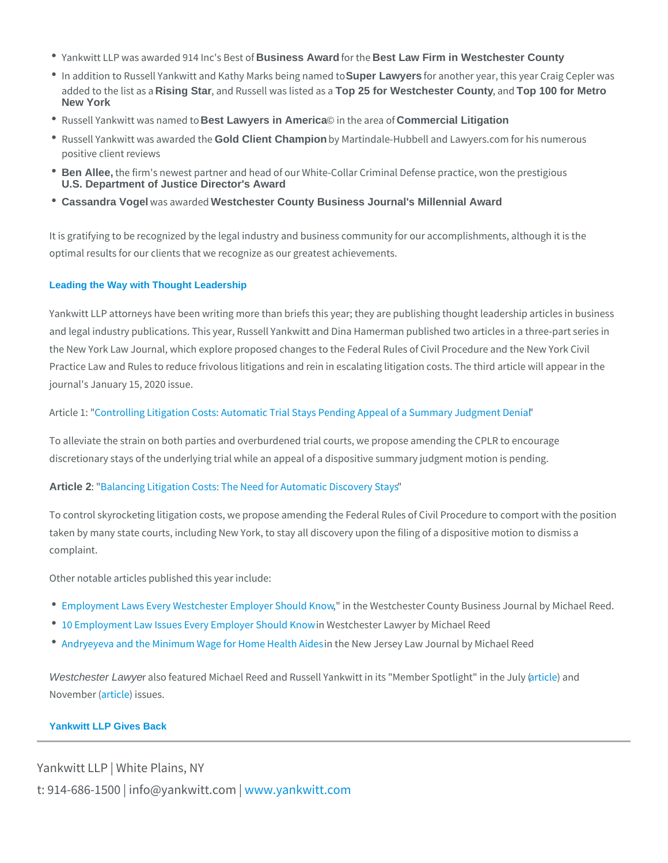- Yankwitt LLP was awarde 68us9intesis Anwards Brows BebenefLaw Firm in Westchester County
- $\text{\textdegree}$  In addition to Russell Yankwitt and KSaupheryLaWiyaensk sfbeinangoniha.enneydentaor, this year Crai added to the Rising tStans, aand Russell waTspl25sfore Weatsheaster County, a Trap 100 for Metro New York
- $\bullet$  Russell Yankwitt wBesstLawaynense ind Amoerica  $\odot$  in the £conenanencodial Litigation
- Russell Yankwitt wa Gold Client Champion by Martindale-Hubbell and Lawyers.com for positive client reviews
- \* Ben Allee, the firm's newest partner and head of our White-Collar Criminal Defense U.S. Department of Justice Director's Award
- Cassandra Vogel was awaWestehdester County Business Journal's Millennial Award

It is gratifying to be recognized by the legal industry and business community fo optimal results for our clients that we recognize as our greatest achievements.

#### Leading the Way with Thought Leadership

Yankwitt LLP attorneys have been writing more than briefs this year; they are pu and legal industry publications. This year, Russell Yankwitt and Dina Hamerman the New York Law Journal, which explore proposed changes to the Federal Rules Practice Law and Rules to reduce frivolous litigations and rein in escalating litic journal's January 15, 2020 issue.

ArticleC Ontrolling Litigation Costs: Automatic Trial Stays Pending Appeal of a Su

To alleviate the strain on both parties and overburdened trial courts, we propose discretionary stays of the underlying trial while an appeal of a dispositive summ

Article 2 : Balancing Litigation Costs: The Need for Automatic Discovery Stays

To control skyrocketing litigation costs, we propose amending the Federal Rules taken by many state courts, including New York, to stay all discovery upon the fi complaint.

Other notable articles published this year include:

- [Employment Laws Every Westcheste](https://westfaironline.com/116826/michael-reed-employment-laws-every-westchester-employer-should-know/)r" Eimpthoey AW e Sshouldensthe Covounty Business Journal Business & Michael Reed. And Reed. At All Reed. And Michael Reed. And Reed. At All Reed. At All Reed. At All Reed. At All Reed. At
- [10 Employment Law Issues Every](/wp-content/uploads/2019/12/Westchester-Lawyer-Publishes-Article-by-Michael-Reed-that-Examines-Andryeyeva-v-New-York-Health-Care.pdf) Emm Megterh Sibbeurid aKwnyoewr by Michael Reed
- [Andryeyeva and the Minimum Wage](/wp-content/uploads/2019/12/Westchester-Lawyer-Publishes-Article-by-Michael-Reed-that-Examines-Andryeyeva-v-New-York-Health-Care.pdf) for Home Health Aides in the New Jersey Law Journal by Michael Reed

Westchester Lawyer also featured Michael Reed and Russell Yankwitt antiiot bah Mdember Sp  $N$ ovembaerti $\phi$ l iessues.

## Yankwitt LLP Gives Back

Yankwitt LLP | White Plains, NY t:  $914 - 686 - 1500$  | info@y wawn ky wom intit wo io tm c p m